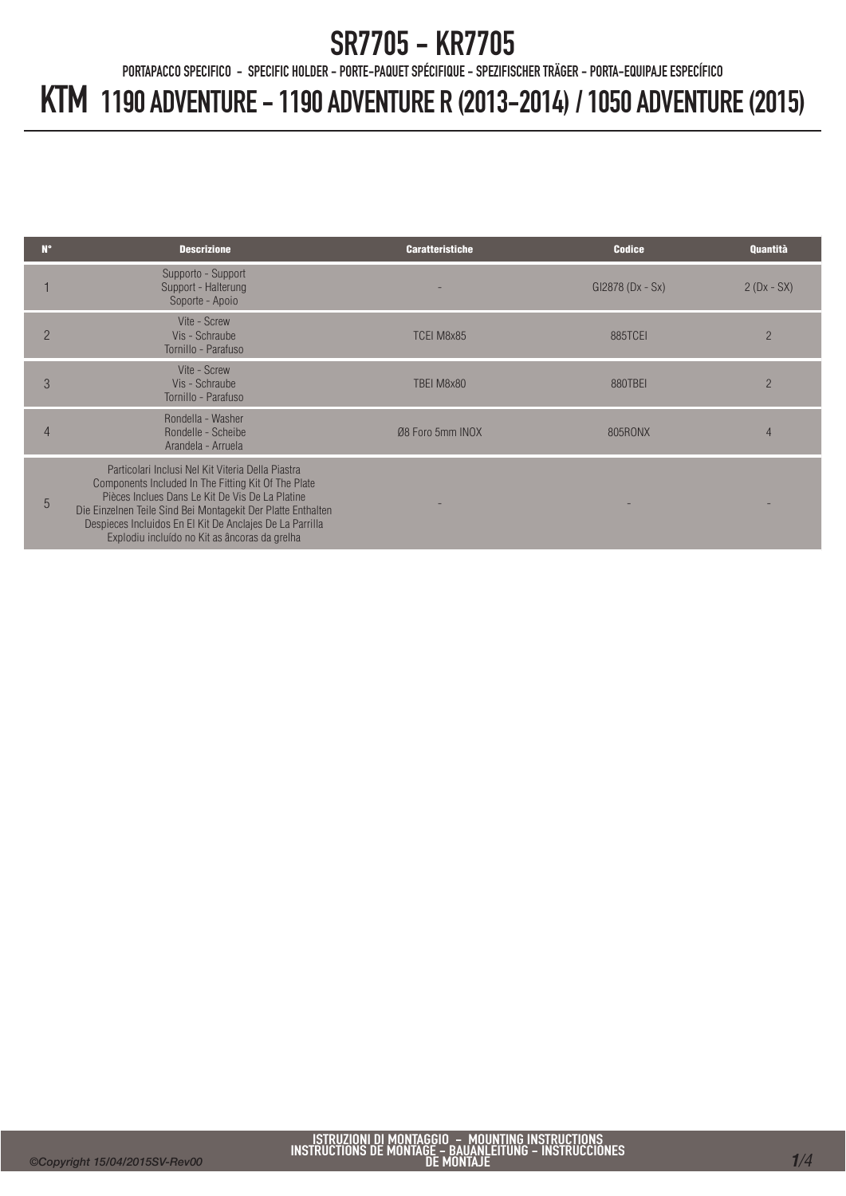PORTAPACCO SPECIFICO - SPECIFIC HOLDER - PORTE-PAQUET SPÉCIFIQUE - SPEZIFISCHER TRÄGER - PORTA-EQUIPAJE ESPECÍFICO

| N۴             | <b>Descrizione</b>                                                                                                                                                                                                                                                                                                                       | <b>Caratteristiche</b> | <b>Codice</b>      | Quantità       |
|----------------|------------------------------------------------------------------------------------------------------------------------------------------------------------------------------------------------------------------------------------------------------------------------------------------------------------------------------------------|------------------------|--------------------|----------------|
|                | Supporto - Support<br>Support - Halterung<br>Soporte - Apoio                                                                                                                                                                                                                                                                             |                        | $Gl2878 (Dx - Sx)$ | $2(Dx - SX)$   |
| $\overline{2}$ | Vite - Screw<br>Vis - Schraube<br>Tornillo - Parafuso                                                                                                                                                                                                                                                                                    | TCEI M8x85             | <b>885TCEI</b>     | $\overline{2}$ |
| 3              | Vite - Screw<br>Vis - Schraube<br>Tornillo - Parafuso                                                                                                                                                                                                                                                                                    | TBEI M8x80             | 880TBEI            | $\overline{2}$ |
| 4              | Rondella - Washer<br>Rondelle - Scheibe<br>Arandela - Arruela                                                                                                                                                                                                                                                                            | Ø8 Foro 5mm INOX       | 805RONX            | 4              |
| 5              | Particolari Inclusi Nel Kit Viteria Della Piastra<br>Components Included In The Fitting Kit Of The Plate<br>Pièces Inclues Dans Le Kit De Vis De La Platine<br>Die Einzelnen Teile Sind Bei Montagekit Der Platte Enthalten<br>Despieces Incluidos En El Kit De Anclajes De La Parrilla<br>Explodiu incluído no Kit as âncoras da grelha |                        |                    |                |
|                |                                                                                                                                                                                                                                                                                                                                          |                        |                    |                |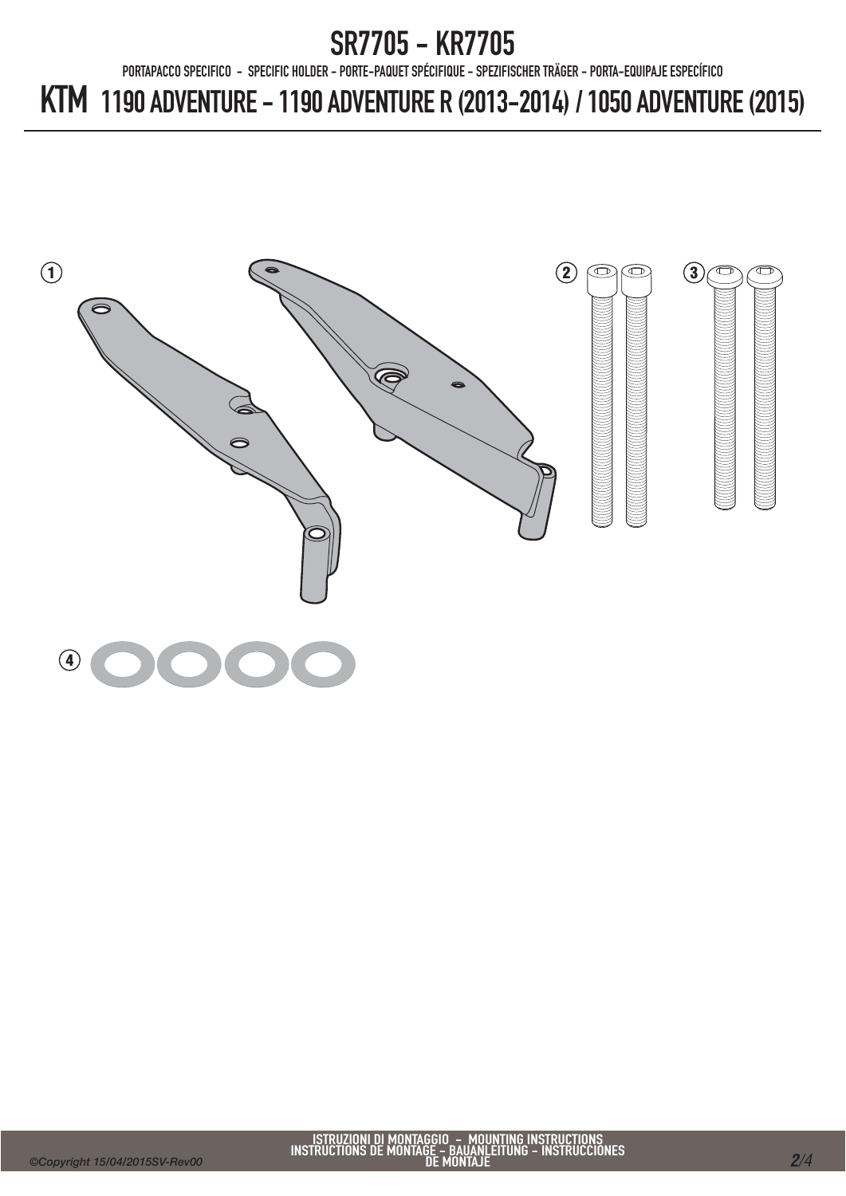PORTAPACCO SPECIFICO - SPECIFIC HOLDER - PORTE-PAQUET SPÉCIFIQUE - SPEZIFISCHER TRÄGER - PORTA-EQUIPAJE ESPECÍFICO

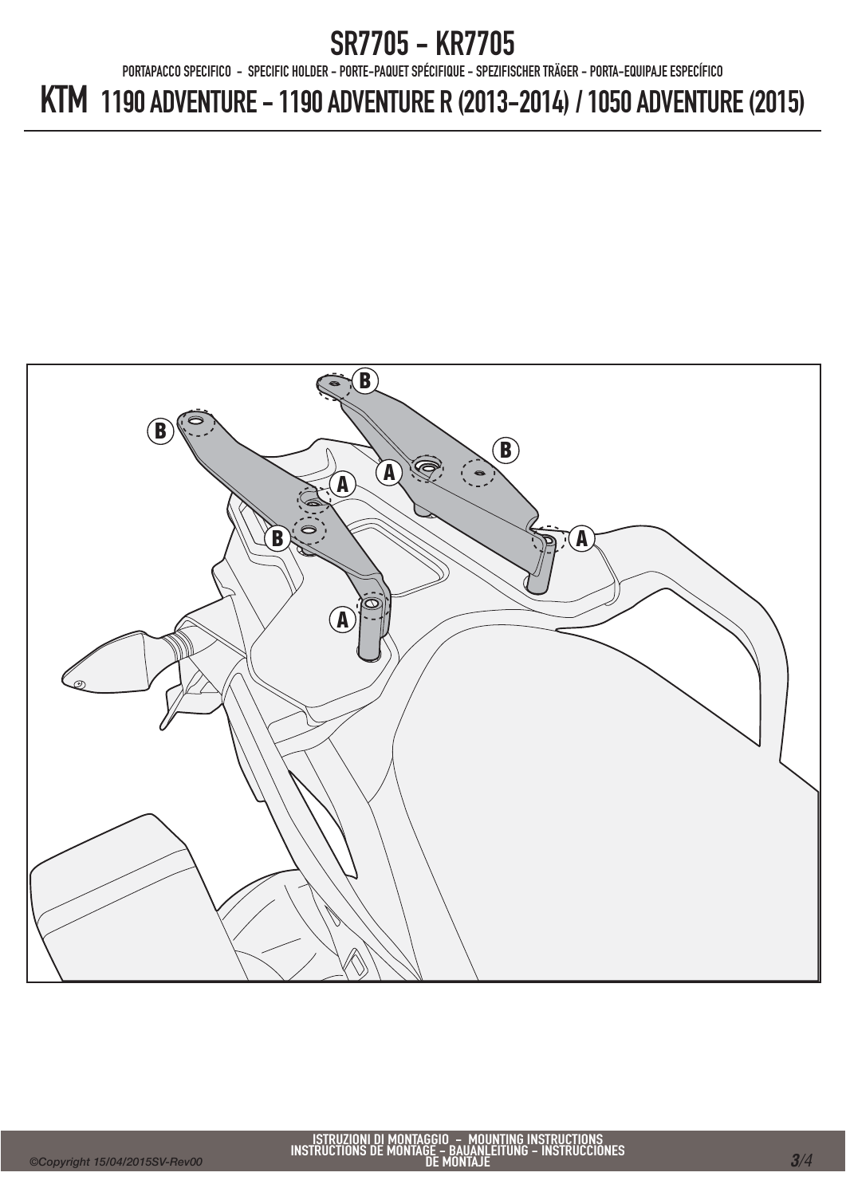PORTAPACCO SPECIFICO - SPECIFIC HOLDER - PORTE-PAQUET SPÉCIFIQUE - SPEZIFISCHER TRÄGER - PORTA-EQUIPAJE ESPECÍFICO